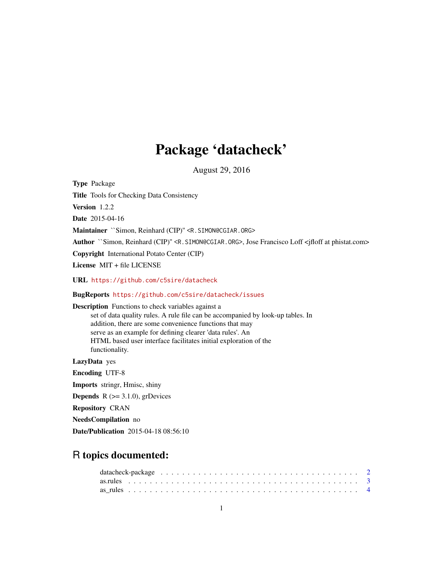## Package 'datacheck'

August 29, 2016

Type Package Title Tools for Checking Data Consistency Version 1.2.2 Date 2015-04-16 Maintainer `Simon, Reinhard (CIP)" <R. SIMON@CGIAR.ORG> Author ``Simon, Reinhard (CIP)'' <R.SIMON@CGIAR.ORG>, Jose Francisco Loff <jfloff at phistat.com> Copyright International Potato Center (CIP) License MIT + file LICENSE URL <https://github.com/c5sire/datacheck> BugReports <https://github.com/c5sire/datacheck/issues> Description Functions to check variables against a set of data quality rules. A rule file can be accompanied by look-up tables. In addition, there are some convenience functions that may serve as an example for defining clearer 'data rules'. An HTML based user interface facilitates initial exploration of the functionality. LazyData yes Encoding UTF-8 Imports stringr, Hmisc, shiny **Depends** R  $(>= 3.1.0)$ , grDevices Repository CRAN NeedsCompilation no Date/Publication 2015-04-18 08:56:10

## R topics documented:

| datacheck-package $\ldots \ldots \ldots \ldots \ldots \ldots \ldots \ldots \ldots \ldots \ldots \ldots \ldots$ |  |
|----------------------------------------------------------------------------------------------------------------|--|
|                                                                                                                |  |
|                                                                                                                |  |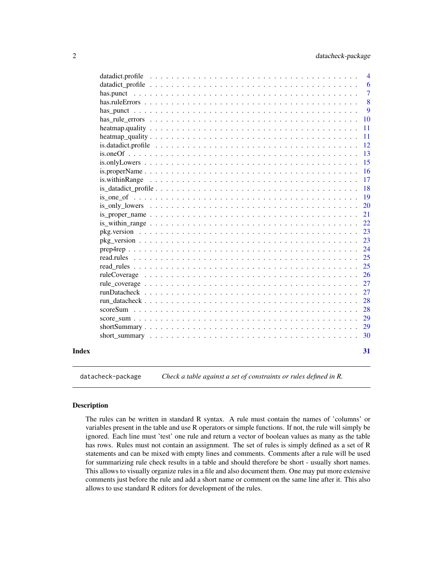<span id="page-1-0"></span>

|       |                                                                                                                         | $\overline{4}$ |
|-------|-------------------------------------------------------------------------------------------------------------------------|----------------|
|       |                                                                                                                         | 6              |
|       |                                                                                                                         | $\overline{7}$ |
|       |                                                                                                                         | 8              |
|       |                                                                                                                         | 9              |
|       |                                                                                                                         | 10             |
|       |                                                                                                                         | 11             |
|       |                                                                                                                         | 11             |
|       |                                                                                                                         | <sup>12</sup>  |
|       |                                                                                                                         | 13             |
|       | $is. only Lowers \dots \dots \dots \dots \dots \dots \dots \dots \dots \dots \dots \dots \dots \dots \dots \dots \dots$ | 15             |
|       |                                                                                                                         | <b>16</b>      |
|       |                                                                                                                         | 17             |
|       |                                                                                                                         | 18             |
|       |                                                                                                                         | <b>19</b>      |
|       |                                                                                                                         | 20             |
|       |                                                                                                                         | 21             |
|       |                                                                                                                         | 22             |
|       |                                                                                                                         | 23             |
|       |                                                                                                                         | 23             |
|       |                                                                                                                         | 24             |
|       |                                                                                                                         | 25             |
|       |                                                                                                                         | 25             |
|       |                                                                                                                         | 26             |
|       |                                                                                                                         | 27             |
|       |                                                                                                                         | 27             |
|       |                                                                                                                         | 28             |
|       |                                                                                                                         | 28             |
|       |                                                                                                                         | 29             |
|       |                                                                                                                         | 29             |
|       |                                                                                                                         | 30             |
|       |                                                                                                                         |                |
| Index |                                                                                                                         | 31             |
|       |                                                                                                                         |                |

datacheck-package *Check a table against a set of constraints or rules defined in R.*

## Description

The rules can be written in standard R syntax. A rule must contain the names of 'columns' or variables present in the table and use R operators or simple functions. If not, the rule will simply be ignored. Each line must 'test' one rule and return a vector of boolean values as many as the table has rows. Rules must not contain an assignment. The set of rules is simply defined as a set of R statements and can be mixed with empty lines and comments. Comments after a rule will be used for summarizing rule check results in a table and should therefore be short - usually short names. This allows to visually organize rules in a file and also document them. One may put more extensive comments just before the rule and add a short name or comment on the same line after it. This also allows to use standard R editors for development of the rules.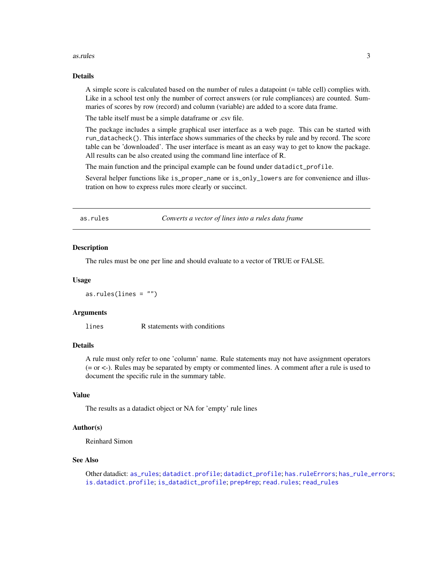#### <span id="page-2-0"></span> $\alpha$ s.rules  $\beta$

## Details

A simple score is calculated based on the number of rules a datapoint (= table cell) complies with. Like in a school test only the number of correct answers (or rule compliances) are counted. Summaries of scores by row (record) and column (variable) are added to a score data frame.

The table itself must be a simple dataframe or .csv file.

The package includes a simple graphical user interface as a web page. This can be started with run\_datacheck(). This interface shows summaries of the checks by rule and by record. The score table can be 'downloaded'. The user interface is meant as an easy way to get to know the package. All results can be also created using the command line interface of R.

The main function and the principal example can be found under datadict\_profile.

Several helper functions like is\_proper\_name or is\_only\_lowers are for convenience and illustration on how to express rules more clearly or succinct.

<span id="page-2-1"></span>as.rules *Converts a vector of lines into a rules data frame*

#### **Description**

The rules must be one per line and should evaluate to a vector of TRUE or FALSE.

#### Usage

as.rules(lines = "")

#### Arguments

lines R statements with conditions

#### Details

A rule must only refer to one 'column' name. Rule statements may not have assignment operators (= or <-). Rules may be separated by empty or commented lines. A comment after a rule is used to document the specific rule in the summary table.

#### Value

The results as a datadict object or NA for 'empty' rule lines

#### Author(s)

Reinhard Simon

#### See Also

Other datadict: [as\\_rules](#page-3-1); [datadict.profile](#page-3-2); [datadict\\_profile](#page-5-1); [has.ruleErrors](#page-7-1); [has\\_rule\\_errors](#page-9-1); [is.datadict.profile](#page-11-1); [is\\_datadict\\_profile](#page-17-1); [prep4rep](#page-23-1); [read.rules](#page-24-1); [read\\_rules](#page-24-2)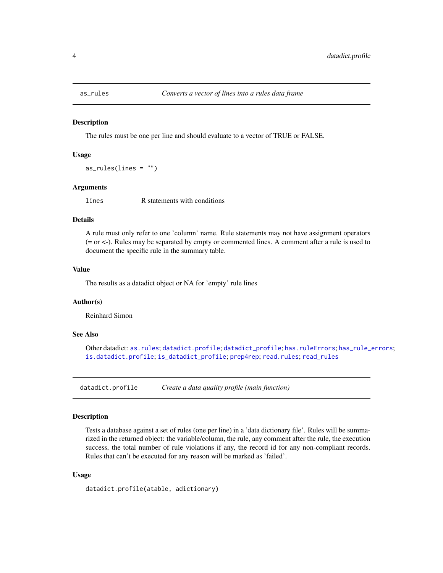<span id="page-3-1"></span><span id="page-3-0"></span>

The rules must be one per line and should evaluate to a vector of TRUE or FALSE.

#### Usage

 $as_rules(lines = "")$ 

#### Arguments

lines R statements with conditions

## Details

A rule must only refer to one 'column' name. Rule statements may not have assignment operators (= or <-). Rules may be separated by empty or commented lines. A comment after a rule is used to document the specific rule in the summary table.

#### Value

The results as a datadict object or NA for 'empty' rule lines

## Author(s)

Reinhard Simon

## See Also

Other datadict: [as.rules](#page-2-1); [datadict.profile](#page-3-2); [datadict\\_profile](#page-5-1); [has.ruleErrors](#page-7-1); [has\\_rule\\_errors](#page-9-1); [is.datadict.profile](#page-11-1); [is\\_datadict\\_profile](#page-17-1); [prep4rep](#page-23-1); [read.rules](#page-24-1); [read\\_rules](#page-24-2)

<span id="page-3-2"></span>datadict.profile *Create a data quality profile (main function)*

#### Description

Tests a database against a set of rules (one per line) in a 'data dictionary file'. Rules will be summarized in the returned object: the variable/column, the rule, any comment after the rule, the execution success, the total number of rule violations if any, the record id for any non-compliant records. Rules that can't be executed for any reason will be marked as 'failed'.

#### Usage

datadict.profile(atable, adictionary)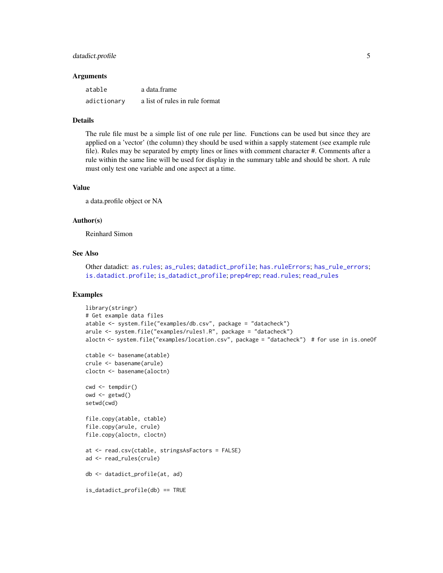## <span id="page-4-0"></span>datadict.profile 5

#### Arguments

| atable      | a data frame                   |
|-------------|--------------------------------|
| adictionary | a list of rules in rule format |

#### Details

The rule file must be a simple list of one rule per line. Functions can be used but since they are applied on a 'vector' (the column) they should be used within a sapply statement (see example rule file). Rules may be separated by empty lines or lines with comment character #. Comments after a rule within the same line will be used for display in the summary table and should be short. A rule must only test one variable and one aspect at a time.

## Value

a data.profile object or NA

#### Author(s)

Reinhard Simon

#### See Also

Other datadict: [as.rules](#page-2-1); [as\\_rules](#page-3-1); [datadict\\_profile](#page-5-1); [has.ruleErrors](#page-7-1); [has\\_rule\\_errors](#page-9-1); [is.datadict.profile](#page-11-1); [is\\_datadict\\_profile](#page-17-1); [prep4rep](#page-23-1); [read.rules](#page-24-1); [read\\_rules](#page-24-2)

## Examples

```
library(stringr)
# Get example data files
atable <- system.file("examples/db.csv", package = "datacheck")
arule <- system.file("examples/rules1.R", package = "datacheck")
aloctn <- system.file("examples/location.csv", package = "datacheck") # for use in is.oneOf
ctable <- basename(atable)
crule <- basename(arule)
cloctn <- basename(aloctn)
cwd <- tempdir()
owd \leq-getwd()setwd(cwd)
file.copy(atable, ctable)
file.copy(arule, crule)
file.copy(aloctn, cloctn)
at <- read.csv(ctable, stringsAsFactors = FALSE)
ad <- read_rules(crule)
db <- datadict_profile(at, ad)
is_datadict_profile(db) == TRUE
```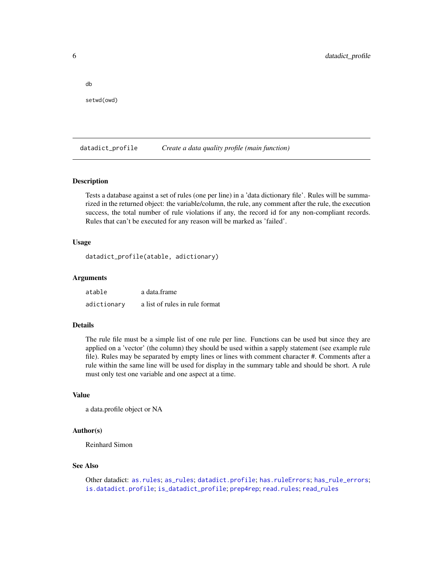setwd(owd)

<span id="page-5-0"></span>db

<span id="page-5-1"></span>datadict\_profile *Create a data quality profile (main function)*

#### Description

Tests a database against a set of rules (one per line) in a 'data dictionary file'. Rules will be summarized in the returned object: the variable/column, the rule, any comment after the rule, the execution success, the total number of rule violations if any, the record id for any non-compliant records. Rules that can't be executed for any reason will be marked as 'failed'.

#### Usage

```
datadict_profile(atable, adictionary)
```
#### Arguments

| atable      | a data frame                   |
|-------------|--------------------------------|
| adictionary | a list of rules in rule format |

#### Details

The rule file must be a simple list of one rule per line. Functions can be used but since they are applied on a 'vector' (the column) they should be used within a sapply statement (see example rule file). Rules may be separated by empty lines or lines with comment character #. Comments after a rule within the same line will be used for display in the summary table and should be short. A rule must only test one variable and one aspect at a time.

#### Value

a data.profile object or NA

#### Author(s)

Reinhard Simon

#### See Also

Other datadict: [as.rules](#page-2-1); [as\\_rules](#page-3-1); [datadict.profile](#page-3-2); [has.ruleErrors](#page-7-1); [has\\_rule\\_errors](#page-9-1); [is.datadict.profile](#page-11-1); [is\\_datadict\\_profile](#page-17-1); [prep4rep](#page-23-1); [read.rules](#page-24-1); [read\\_rules](#page-24-2)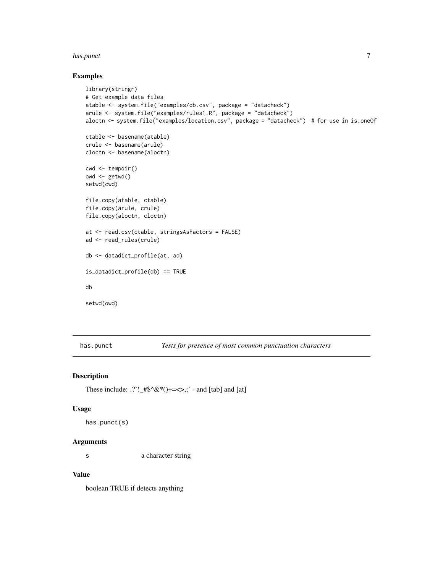#### <span id="page-6-0"></span>has.punct 7 and 7 and 7 and 7 and 7 and 7 and 7 and 7 and 7 and 7 and 7 and 7 and 7 and 7 and 7 and 7 and 7 and 7 and 7 and 7 and 7 and 7 and 7 and 7 and 7 and 7 and 7 and 7 and 7 and 7 and 7 and 7 and 7 and 7 and 7 and 7

## Examples

```
library(stringr)
# Get example data files
atable <- system.file("examples/db.csv", package = "datacheck")
arule <- system.file("examples/rules1.R", package = "datacheck")
aloctn <- system.file("examples/location.csv", package = "datacheck") # for use in is.oneOf
ctable <- basename(atable)
crule <- basename(arule)
cloctn <- basename(aloctn)
cwd \leq tempdir()
owd <- getwd()
setwd(cwd)
file.copy(atable, ctable)
file.copy(arule, crule)
file.copy(aloctn, cloctn)
at <- read.csv(ctable, stringsAsFactors = FALSE)
ad <- read_rules(crule)
db <- datadict_profile(at, ad)
is_datadict_profile(db) == TRUE
db
setwd(owd)
```
<span id="page-6-1"></span>has.punct *Tests for presence of most common punctuation characters*

#### Description

These include:  $.$ ?'!\_#\$^&\*()+=<>,;' - and [tab] and [at]

#### Usage

```
has.punct(s)
```
## Arguments

s a character string

## Value

boolean TRUE if detects anything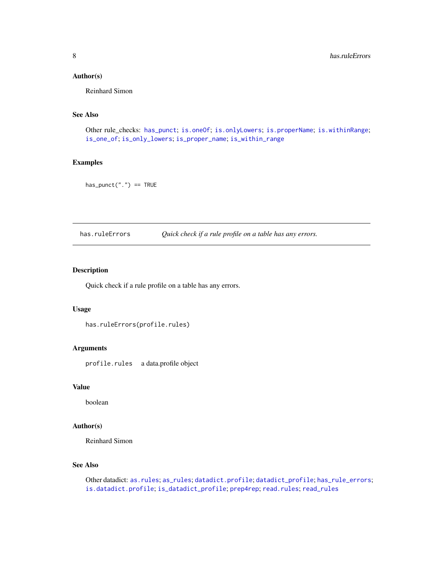## <span id="page-7-0"></span>Author(s)

Reinhard Simon

## See Also

Other rule\_checks: [has\\_punct](#page-8-1); [is.oneOf](#page-12-1); [is.onlyLowers](#page-14-1); [is.properName](#page-15-1); [is.withinRange](#page-16-1); [is\\_one\\_of](#page-18-1); [is\\_only\\_lowers](#page-19-1); [is\\_proper\\_name](#page-20-1); [is\\_within\\_range](#page-21-1)

## Examples

 $has\_punct("." ) == TRUE$ 

<span id="page-7-1"></span>has.ruleErrors *Quick check if a rule profile on a table has any errors.*

## Description

Quick check if a rule profile on a table has any errors.

#### Usage

```
has.ruleErrors(profile.rules)
```
## Arguments

profile.rules a data.profile object

## Value

boolean

## Author(s)

Reinhard Simon

## See Also

Other datadict: [as.rules](#page-2-1); [as\\_rules](#page-3-1); [datadict.profile](#page-3-2); [datadict\\_profile](#page-5-1); [has\\_rule\\_errors](#page-9-1); [is.datadict.profile](#page-11-1); [is\\_datadict\\_profile](#page-17-1); [prep4rep](#page-23-1); [read.rules](#page-24-1); [read\\_rules](#page-24-2)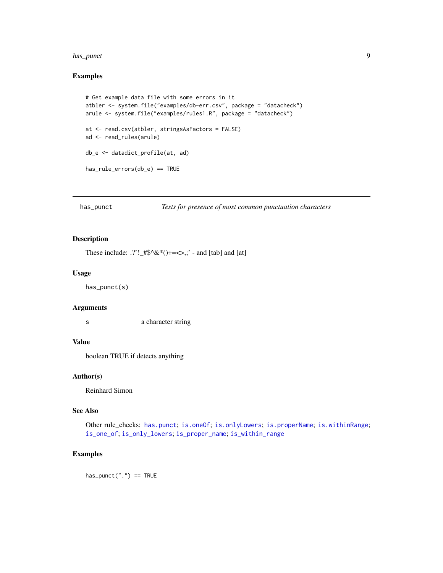#### <span id="page-8-0"></span>has\_punct 99 and 2012 12:00 and 2012 12:00 and 2012 12:00 and 2012 12:00 and 2012 12:00 and 2012 12:00 and 201

## Examples

```
# Get example data file with some errors in it
atbler <- system.file("examples/db-err.csv", package = "datacheck")
arule <- system.file("examples/rules1.R", package = "datacheck")
at <- read.csv(atbler, stringsAsFactors = FALSE)
ad <- read_rules(arule)
db_e <- datadict_profile(at, ad)
has_rule_errors(db_e) == TRUE
```
<span id="page-8-1"></span>has\_punct *Tests for presence of most common punctuation characters*

## Description

These include:  $.$ ?'!\_#\$^&\*()+=<>,;' - and [tab] and [at]

## Usage

has\_punct(s)

#### Arguments

s a character string

## Value

boolean TRUE if detects anything

#### Author(s)

Reinhard Simon

#### See Also

Other rule\_checks: [has.punct](#page-6-1); [is.oneOf](#page-12-1); [is.onlyLowers](#page-14-1); [is.properName](#page-15-1); [is.withinRange](#page-16-1); [is\\_one\\_of](#page-18-1); [is\\_only\\_lowers](#page-19-1); [is\\_proper\\_name](#page-20-1); [is\\_within\\_range](#page-21-1)

## Examples

 $has\_punct("." ) == TRUE$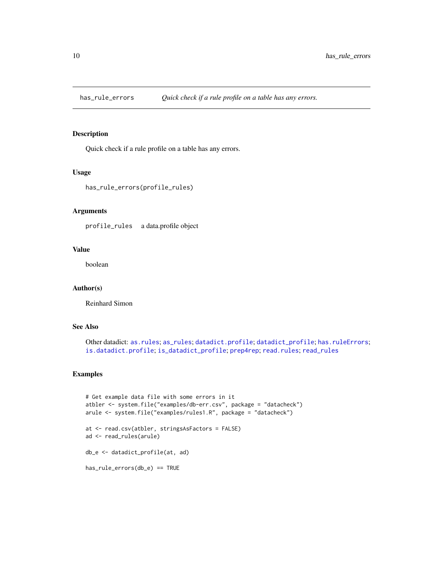<span id="page-9-1"></span><span id="page-9-0"></span>

Quick check if a rule profile on a table has any errors.

#### Usage

```
has_rule_errors(profile_rules)
```
## Arguments

profile\_rules a data.profile object

## Value

boolean

#### Author(s)

Reinhard Simon

## See Also

```
Other datadict: as.rules; as_rules; datadict.profile; datadict_profile; has.ruleErrors;
is.datadict.profile; is_datadict_profile; prep4rep; read.rules; read_rules
```
## Examples

```
# Get example data file with some errors in it
atbler <- system.file("examples/db-err.csv", package = "datacheck")
arule <- system.file("examples/rules1.R", package = "datacheck")
at <- read.csv(atbler, stringsAsFactors = FALSE)
ad <- read_rules(arule)
db_e <- datadict_profile(at, ad)
has_rule_errors(db_e) == TRUE
```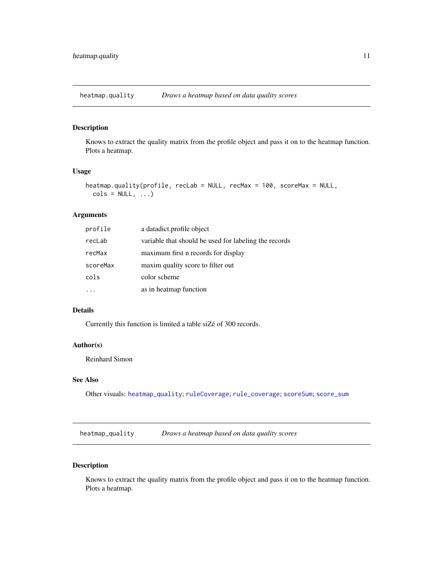<span id="page-10-2"></span><span id="page-10-0"></span>heatmap.quality *Draws a heatmap based on data quality scores*

## Description

Knows to extract the quality matrix from the profile object and pass it on to the heatmap function. Plots a heatmap.

#### Usage

```
heatmap.quality(profile, recLab = NULL, recMax = 100, scoreMax = NULL,
  \text{cols} = \text{NULL}, \ldots)
```
## Arguments

| profile  | a datadict.profile object                             |
|----------|-------------------------------------------------------|
| recLab   | variable that should be used for labeling the records |
| recMax   | maximum first n records for display                   |
| scoreMax | maxim quality score to filter out                     |
| cols     | color scheme                                          |
|          | as in heatmap function                                |

## Details

Currently this function is limited a table siZé of 300 records.

#### Author(s)

Reinhard Simon

## See Also

Other visuals: [heatmap\\_quality](#page-10-1); [ruleCoverage](#page-25-1); [rule\\_coverage](#page-26-1); [scoreSum](#page-27-1); [score\\_sum](#page-28-1)

<span id="page-10-1"></span>heatmap\_quality *Draws a heatmap based on data quality scores*

## Description

Knows to extract the quality matrix from the profile object and pass it on to the heatmap function. Plots a heatmap.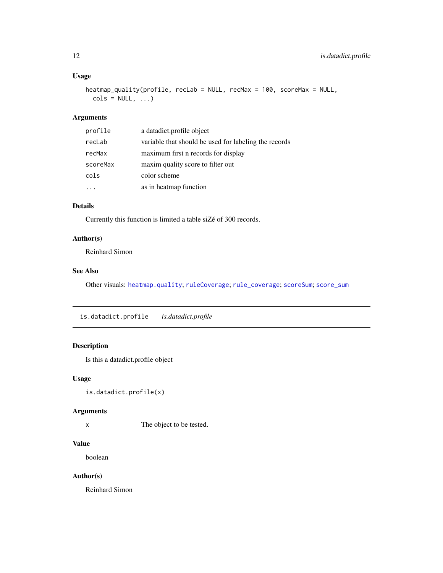## <span id="page-11-0"></span>Usage

```
heatmap_quality(profile, recLab = NULL, recMax = 100, scoreMax = NULL,
  \text{cols} = \text{NULL}, \ldots)
```
## Arguments

| profile  | a datadict.profile object                             |
|----------|-------------------------------------------------------|
| recLab   | variable that should be used for labeling the records |
| recMax   | maximum first n records for display                   |
| scoreMax | maxim quality score to filter out                     |
| cols     | color scheme                                          |
|          | as in heatmap function                                |

## Details

Currently this function is limited a table siZé of 300 records.

## Author(s)

Reinhard Simon

## See Also

Other visuals: [heatmap.quality](#page-10-2); [ruleCoverage](#page-25-1); [rule\\_coverage](#page-26-1); [scoreSum](#page-27-1); [score\\_sum](#page-28-1)

<span id="page-11-1"></span>is.datadict.profile *is.datadict.profile*

## Description

Is this a datadict.profile object

## Usage

```
is.datadict.profile(x)
```
#### Arguments

x The object to be tested.

## Value

boolean

## Author(s)

Reinhard Simon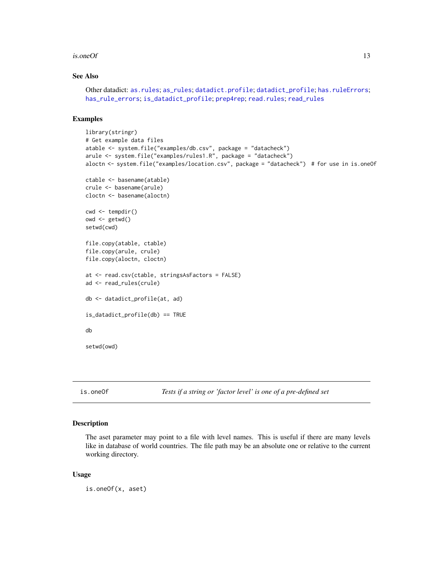#### <span id="page-12-0"></span>is.oneOf  $\qquad \qquad$  13

## See Also

```
as.rulesas_rulesdatadict.profiledatadict_profilehas.ruleErrors;
has_rule_errors; is_datadict_profile; prep4rep; read.rules; read_rules
```
## Examples

```
library(stringr)
# Get example data files
atable <- system.file("examples/db.csv", package = "datacheck")
arule <- system.file("examples/rules1.R", package = "datacheck")
aloctn <- system.file("examples/location.csv", package = "datacheck") # for use in is.oneOf
ctable <- basename(atable)
crule <- basename(arule)
cloctn <- basename(aloctn)
cwd <- tempdir()
owd \leq getwd()
setwd(cwd)
file.copy(atable, ctable)
file.copy(arule, crule)
file.copy(aloctn, cloctn)
at <- read.csv(ctable, stringsAsFactors = FALSE)
ad <- read_rules(crule)
db <- datadict_profile(at, ad)
is_datadict_profile(db) == TRUE
db
setwd(owd)
```
<span id="page-12-1"></span>

is.oneOf *Tests if a string or 'factor level' is one of a pre-defined set*

#### Description

The aset parameter may point to a file with level names. This is useful if there are many levels like in database of world countries. The file path may be an absolute one or relative to the current working directory.

#### Usage

is.oneOf(x, aset)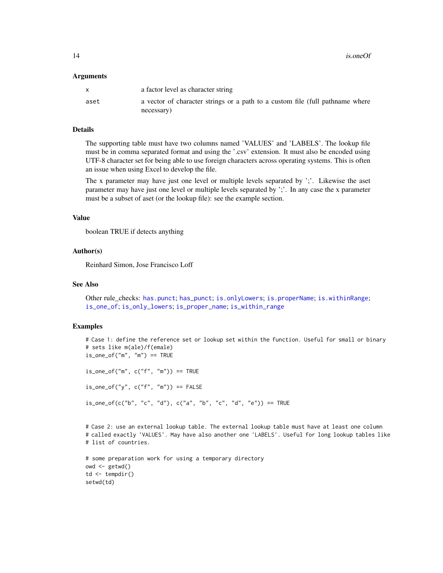#### <span id="page-13-0"></span>Arguments

|      | a factor level as character string                                            |
|------|-------------------------------------------------------------------------------|
| aset | a vector of character strings or a path to a custom file (full pathname where |
|      | necessary)                                                                    |

#### Details

The supporting table must have two columns named 'VALUES' and 'LABELS'. The lookup file must be in comma separated format and using the '.csv' extension. It must also be encoded using UTF-8 character set for being able to use foreign characters across operating systems. This is often an issue when using Excel to develop the file.

The x parameter may have just one level or multiple levels separated by ';'. Likewise the aset parameter may have just one level or multiple levels separated by ';'. In any case the x parameter must be a subset of aset (or the lookup file): see the example section.

#### Value

boolean TRUE if detects anything

## Author(s)

Reinhard Simon, Jose Francisco Loff

#### See Also

Other rule\_checks: [has.punct](#page-6-1); [has\\_punct](#page-8-1); [is.onlyLowers](#page-14-1); [is.properName](#page-15-1); [is.withinRange](#page-16-1); [is\\_one\\_of](#page-18-1); [is\\_only\\_lowers](#page-19-1); [is\\_proper\\_name](#page-20-1); [is\\_within\\_range](#page-21-1)

## Examples

```
# Case 1: define the reference set or lookup set within the function. Useful for small or binary
# sets like m(ale)/f(emale)
is\_one\_of("m", "m") == TRUE
```
 $is\_one\_of("m", c("f", "m")) == TRUE$ 

 $is\_one\_of("y", c("f", "m")) == FALSE$ 

 $is\_one\_of(c("b", "c", "d"), c("a", "b", "c", "d", "e")) == TRUE$ 

# Case 2: use an external lookup table. The external lookup table must have at least one column # called exactly 'VALUES'. May have also another one 'LABELS'. Useful for long lookup tables like # list of countries.

```
# some preparation work for using a temporary directory
owd \leq getwd()
td \leftarrow tempdir()setwd(td)
```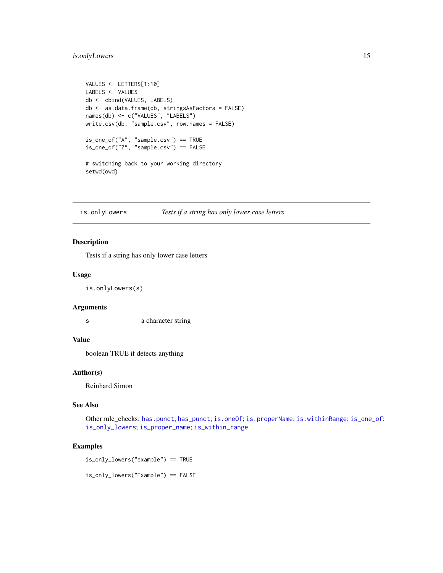## <span id="page-14-0"></span>is.onlyLowers 15

```
VALUES <- LETTERS[1:10]
LABELS <- VALUES
db <- cbind(VALUES, LABELS)
db <- as.data.frame(db, stringsAsFactors = FALSE)
names(db) <- c("VALUES", "LABELS")
write.csv(db, "sample.csv", row.names = FALSE)
is_one_of("A", "sample.csv") == TRUE
is_one_of("Z", "sample.csv") == FALSE
# switching back to your working directory
setwd(owd)
```
<span id="page-14-1"></span>is.onlyLowers *Tests if a string has only lower case letters*

#### Description

Tests if a string has only lower case letters

## Usage

is.onlyLowers(s)

#### Arguments

s a character string

### Value

boolean TRUE if detects anything

#### Author(s)

Reinhard Simon

## See Also

Other rule\_checks: [has.punct](#page-6-1); [has\\_punct](#page-8-1); [is.oneOf](#page-12-1); [is.properName](#page-15-1); [is.withinRange](#page-16-1); [is\\_one\\_of](#page-18-1); [is\\_only\\_lowers](#page-19-1); [is\\_proper\\_name](#page-20-1); [is\\_within\\_range](#page-21-1)

## Examples

is\_only\_lowers("example") == TRUE

is\_only\_lowers("Example") == FALSE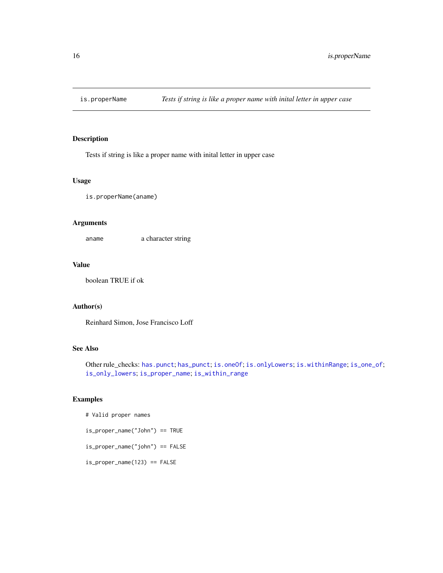<span id="page-15-1"></span><span id="page-15-0"></span>

Tests if string is like a proper name with inital letter in upper case

#### Usage

is.properName(aname)

## Arguments

aname a character string

## Value

boolean TRUE if ok

## Author(s)

Reinhard Simon, Jose Francisco Loff

## See Also

Other rule\_checks: [has.punct](#page-6-1); [has\\_punct](#page-8-1); [is.oneOf](#page-12-1); [is.onlyLowers](#page-14-1); [is.withinRange](#page-16-1); [is\\_one\\_of](#page-18-1); [is\\_only\\_lowers](#page-19-1); [is\\_proper\\_name](#page-20-1); [is\\_within\\_range](#page-21-1)

#### Examples

```
# Valid proper names
is_proper_name("John") == TRUE
is_proper_name("john") == FALSE
is_proper_name(123) == FALSE
```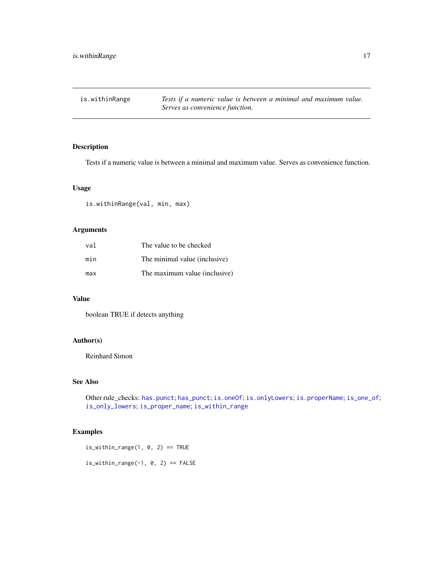<span id="page-16-1"></span><span id="page-16-0"></span>is.withinRange *Tests if a numeric value is between a minimal and maximum value. Serves as convenience function.*

## Description

Tests if a numeric value is between a minimal and maximum value. Serves as convenience function.

## Usage

is.withinRange(val, min, max)

## Arguments

| val | The value to be checked       |
|-----|-------------------------------|
| min | The minimal value (inclusive) |
| max | The maximum value (inclusive) |

## Value

boolean TRUE if detects anything

## Author(s)

Reinhard Simon

## See Also

Other rule\_checks: [has.punct](#page-6-1); [has\\_punct](#page-8-1); [is.oneOf](#page-12-1); [is.onlyLowers](#page-14-1); [is.properName](#page-15-1); [is\\_one\\_of](#page-18-1); [is\\_only\\_lowers](#page-19-1); [is\\_proper\\_name](#page-20-1); [is\\_within\\_range](#page-21-1)

## Examples

is\_within\_range(1,  $\theta$ , 2) == TRUE

is\_within\_range(-1,  $0, 2$ ) == FALSE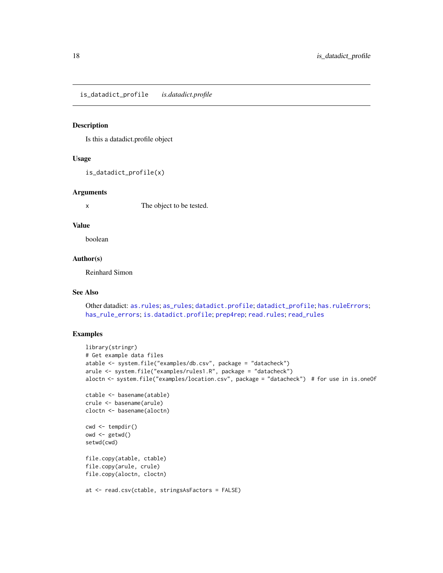<span id="page-17-1"></span><span id="page-17-0"></span>is\_datadict\_profile *is.datadict.profile*

#### Description

Is this a datadict.profile object

## Usage

is\_datadict\_profile(x)

#### Arguments

x The object to be tested.

#### Value

boolean

## Author(s)

Reinhard Simon

#### See Also

Other datadict: [as.rules](#page-2-1); [as\\_rules](#page-3-1); [datadict.profile](#page-3-2); [datadict\\_profile](#page-5-1); [has.ruleErrors](#page-7-1); [has\\_rule\\_errors](#page-9-1); [is.datadict.profile](#page-11-1); [prep4rep](#page-23-1); [read.rules](#page-24-1); [read\\_rules](#page-24-2)

## Examples

```
library(stringr)
# Get example data files
atable <- system.file("examples/db.csv", package = "datacheck")
arule <- system.file("examples/rules1.R", package = "datacheck")
aloctn <- system.file("examples/location.csv", package = "datacheck") # for use in is.oneOf
ctable <- basename(atable)
crule <- basename(arule)
cloctn <- basename(aloctn)
cwd <- tempdir()
owd <- getwd()
setwd(cwd)
file.copy(atable, ctable)
file.copy(arule, crule)
file.copy(aloctn, cloctn)
at <- read.csv(ctable, stringsAsFactors = FALSE)
```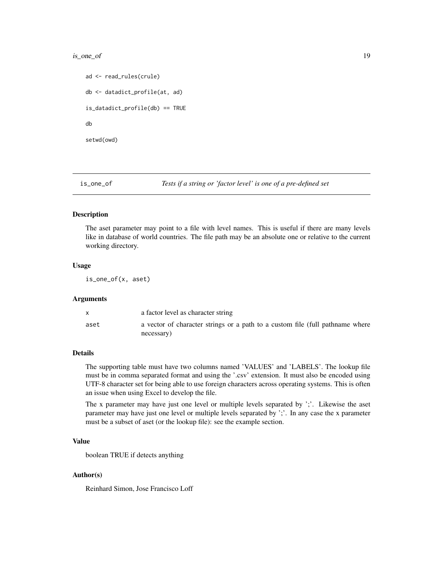#### <span id="page-18-0"></span>is\_one\_of 19

```
ad <- read_rules(crule)
db <- datadict_profile(at, ad)
is_datadict_profile(db) == TRUE
db
setwd(owd)
```
<span id="page-18-1"></span>

is\_one\_of *Tests if a string or 'factor level' is one of a pre-defined set*

## Description

The aset parameter may point to a file with level names. This is useful if there are many levels like in database of world countries. The file path may be an absolute one or relative to the current working directory.

#### Usage

is\_one\_of(x, aset)

#### Arguments

|      | a factor level as character string                                                          |
|------|---------------------------------------------------------------------------------------------|
| aset | a vector of character strings or a path to a custom file (full pathname where<br>necessary) |

#### Details

The supporting table must have two columns named 'VALUES' and 'LABELS'. The lookup file must be in comma separated format and using the '.csv' extension. It must also be encoded using UTF-8 character set for being able to use foreign characters across operating systems. This is often an issue when using Excel to develop the file.

The x parameter may have just one level or multiple levels separated by ';'. Likewise the aset parameter may have just one level or multiple levels separated by ';'. In any case the x parameter must be a subset of aset (or the lookup file): see the example section.

## Value

boolean TRUE if detects anything

#### Author(s)

Reinhard Simon, Jose Francisco Loff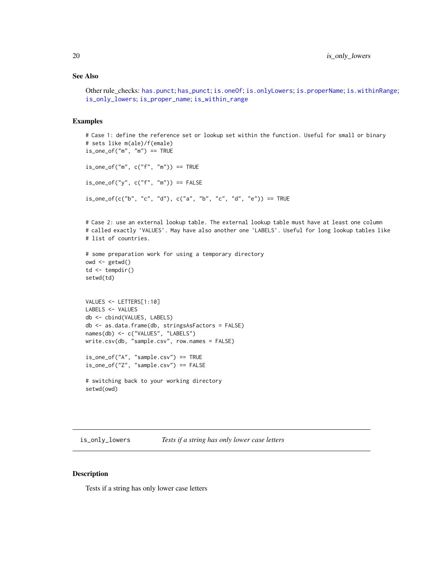## <span id="page-19-0"></span>See Also

Other rule\_checks: [has.punct](#page-6-1); [has\\_punct](#page-8-1); [is.oneOf](#page-12-1); [is.onlyLowers](#page-14-1); [is.properName](#page-15-1); [is.withinRange](#page-16-1); [is\\_only\\_lowers](#page-19-1); [is\\_proper\\_name](#page-20-1); [is\\_within\\_range](#page-21-1)

#### Examples

```
# Case 1: define the reference set or lookup set within the function. Useful for small or binary
# sets like m(ale)/f(emale)
is\_one\_of("m", "m") == TRUEis\_one\_of("m", c("f", "m")) == TRUEis\_one\_of("y", c("f", "m")) == FALSEis\_one\_of(c("b", "c", "d"), c("a", "b", "c", "d", "e")) == TRUE# Case 2: use an external lookup table. The external lookup table must have at least one column
# called exactly 'VALUES'. May have also another one 'LABELS'. Useful for long lookup tables like
# list of countries.
# some preparation work for using a temporary directory
owd \leq-getwd()td \leftarrow tempdir()setwd(td)
VALUES <- LETTERS[1:10]
LABELS <- VALUES
db <- cbind(VALUES, LABELS)
db <- as.data.frame(db, stringsAsFactors = FALSE)
names(db) <- c("VALUES", "LABELS")
write.csv(db, "sample.csv", row.names = FALSE)
is_one_of("A", "sample.csv") == TRUE
is_one_of("Z", "sample.csv") == FALSE
```

```
# switching back to your working directory
setwd(owd)
```
<span id="page-19-1"></span>is\_only\_lowers *Tests if a string has only lower case letters*

## Description

Tests if a string has only lower case letters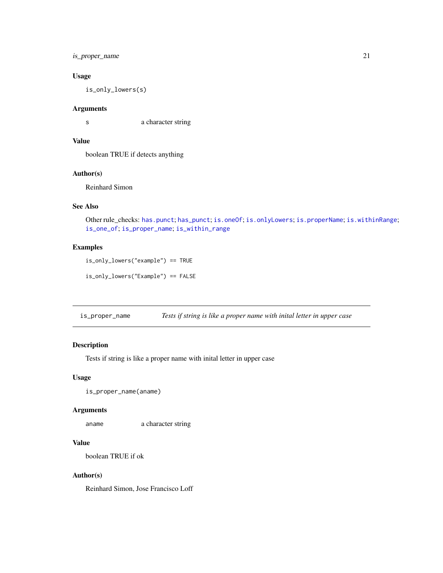## <span id="page-20-0"></span>is\_proper\_name 21

## Usage

is\_only\_lowers(s)

## Arguments

s a character string

## Value

boolean TRUE if detects anything

## Author(s)

Reinhard Simon

## See Also

Other rule\_checks: [has.punct](#page-6-1); [has\\_punct](#page-8-1); [is.oneOf](#page-12-1); [is.onlyLowers](#page-14-1); [is.properName](#page-15-1); [is.withinRange](#page-16-1); [is\\_one\\_of](#page-18-1); [is\\_proper\\_name](#page-20-1); [is\\_within\\_range](#page-21-1)

## Examples

is\_only\_lowers("example") == TRUE

is\_only\_lowers("Example") == FALSE

<span id="page-20-1"></span>is\_proper\_name *Tests if string is like a proper name with inital letter in upper case*

## Description

Tests if string is like a proper name with inital letter in upper case

## Usage

is\_proper\_name(aname)

#### Arguments

aname a character string

## Value

boolean TRUE if ok

#### Author(s)

Reinhard Simon, Jose Francisco Loff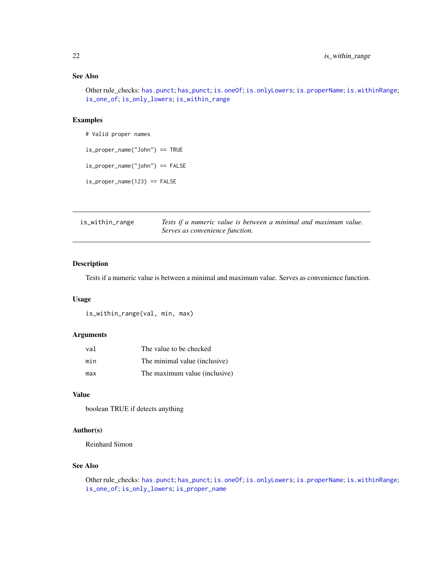## See Also

Other rule\_checks: [has.punct](#page-6-1); [has\\_punct](#page-8-1); [is.oneOf](#page-12-1); [is.onlyLowers](#page-14-1); [is.properName](#page-15-1); [is.withinRange](#page-16-1); [is\\_one\\_of](#page-18-1); [is\\_only\\_lowers](#page-19-1); [is\\_within\\_range](#page-21-1)

## Examples

```
# Valid proper names
is_proper_name("John") == TRUE
is_proper_name("john") == FALSE
is_proper_name(123) == FALSE
```
<span id="page-21-1"></span>

| is_within_range | Tests if a numeric value is between a minimal and maximum value. |
|-----------------|------------------------------------------------------------------|
|                 | Serves as convenience function.                                  |

## Description

Tests if a numeric value is between a minimal and maximum value. Serves as convenience function.

#### Usage

is\_within\_range(val, min, max)

## Arguments

| val | The value to be checked       |
|-----|-------------------------------|
| min | The minimal value (inclusive) |
| max | The maximum value (inclusive) |

#### Value

boolean TRUE if detects anything

## Author(s)

Reinhard Simon

## See Also

Other rule\_checks: [has.punct](#page-6-1); [has\\_punct](#page-8-1); [is.oneOf](#page-12-1); [is.onlyLowers](#page-14-1); [is.properName](#page-15-1); [is.withinRange](#page-16-1); [is\\_one\\_of](#page-18-1); [is\\_only\\_lowers](#page-19-1); [is\\_proper\\_name](#page-20-1)

<span id="page-21-0"></span>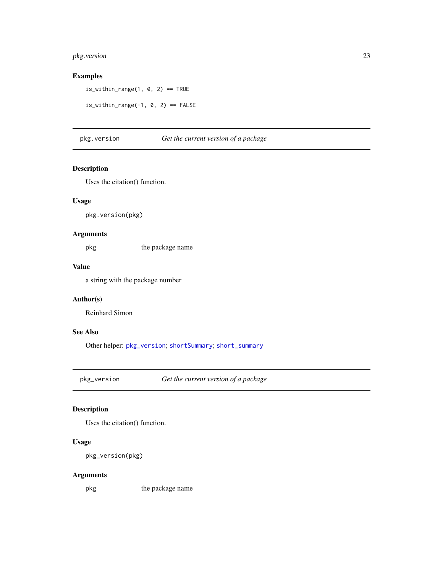## <span id="page-22-0"></span>pkg.version 23

## Examples

is\_within\_range(1,  $\theta$ , 2) == TRUE

is\_within\_range(-1,  $0$ , 2) == FALSE

## <span id="page-22-2"></span>pkg.version *Get the current version of a package*

## Description

Uses the citation() function.

## Usage

pkg.version(pkg)

## Arguments

pkg the package name

## Value

a string with the package number

## Author(s)

Reinhard Simon

### See Also

Other helper: [pkg\\_version](#page-22-1); [shortSummary](#page-28-2); [short\\_summary](#page-29-1)

<span id="page-22-1"></span>pkg\_version *Get the current version of a package*

## Description

Uses the citation() function.

## Usage

pkg\_version(pkg)

#### Arguments

pkg the package name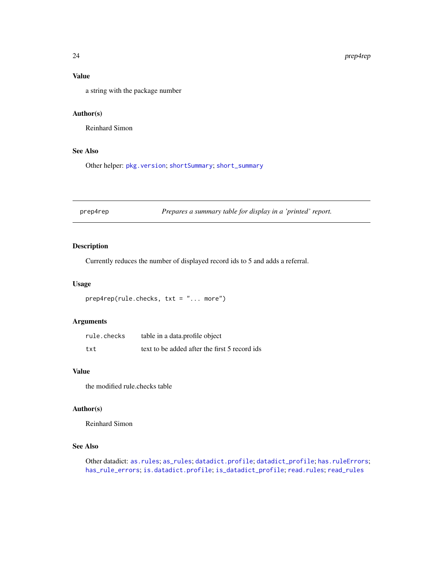## <span id="page-23-0"></span>Value

a string with the package number

## Author(s)

Reinhard Simon

## See Also

Other helper: [pkg.version](#page-22-2); [shortSummary](#page-28-2); [short\\_summary](#page-29-1)

<span id="page-23-1"></span>prep4rep *Prepares a summary table for display in a 'printed' report.*

## Description

Currently reduces the number of displayed record ids to 5 and adds a referral.

## Usage

```
prep4rep(rule.checks, txt = "... more")
```
## Arguments

| rule.checks | table in a data.profile object                |
|-------------|-----------------------------------------------|
| txt         | text to be added after the first 5 record ids |

## Value

the modified rule.checks table

#### Author(s)

Reinhard Simon

## See Also

Other datadict: [as.rules](#page-2-1); [as\\_rules](#page-3-1); [datadict.profile](#page-3-2); [datadict\\_profile](#page-5-1); [has.ruleErrors](#page-7-1); [has\\_rule\\_errors](#page-9-1); [is.datadict.profile](#page-11-1); [is\\_datadict\\_profile](#page-17-1); [read.rules](#page-24-1); [read\\_rules](#page-24-2)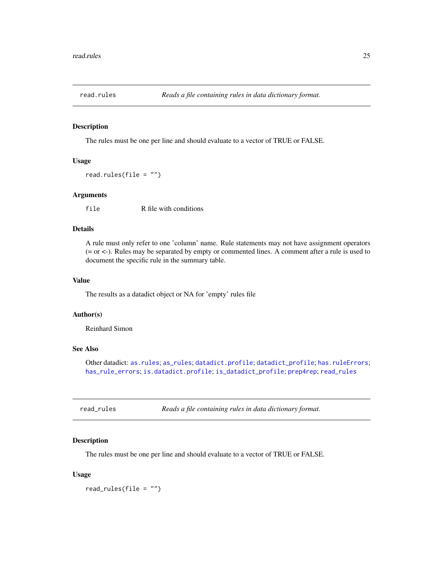<span id="page-24-1"></span><span id="page-24-0"></span>

The rules must be one per line and should evaluate to a vector of TRUE or FALSE.

#### Usage

read.rules(file = "")

## Arguments

file R file with conditions

#### Details

A rule must only refer to one 'column' name. Rule statements may not have assignment operators (= or <-). Rules may be separated by empty or commented lines. A comment after a rule is used to document the specific rule in the summary table.

## Value

The results as a datadict object or NA for 'empty' rules file

#### Author(s)

Reinhard Simon

## See Also

Other datadict: [as.rules](#page-2-1); [as\\_rules](#page-3-1); [datadict.profile](#page-3-2); [datadict\\_profile](#page-5-1); [has.ruleErrors](#page-7-1); [has\\_rule\\_errors](#page-9-1); [is.datadict.profile](#page-11-1); [is\\_datadict\\_profile](#page-17-1); [prep4rep](#page-23-1); [read\\_rules](#page-24-2)

<span id="page-24-2"></span>

| read_rules | Reads a file containing rules in data dictionary format. |  |
|------------|----------------------------------------------------------|--|
|------------|----------------------------------------------------------|--|

#### Description

The rules must be one per line and should evaluate to a vector of TRUE or FALSE.

## Usage

read\_rules(file = "")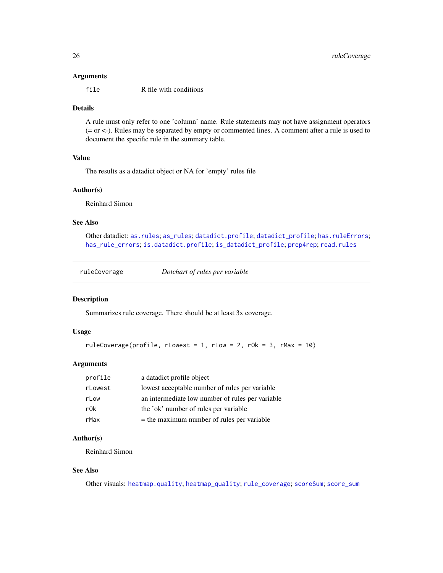#### <span id="page-25-0"></span>Arguments

file R file with conditions

## Details

A rule must only refer to one 'column' name. Rule statements may not have assignment operators (= or <-). Rules may be separated by empty or commented lines. A comment after a rule is used to document the specific rule in the summary table.

## Value

The results as a datadict object or NA for 'empty' rules file

## Author(s)

Reinhard Simon

## See Also

Other datadict: [as.rules](#page-2-1); [as\\_rules](#page-3-1); [datadict.profile](#page-3-2); [datadict\\_profile](#page-5-1); [has.ruleErrors](#page-7-1); [has\\_rule\\_errors](#page-9-1); [is.datadict.profile](#page-11-1); [is\\_datadict\\_profile](#page-17-1); [prep4rep](#page-23-1); [read.rules](#page-24-1)

<span id="page-25-1"></span>ruleCoverage *Dotchart of rules per variable*

#### Description

Summarizes rule coverage. There should be at least 3x coverage.

#### Usage

```
ruleCoverage(profile, rLowest = 1, rLow = 2, rOk = 3, rMax = 10)
```
#### Arguments

| profile | a datadict profile object                        |
|---------|--------------------------------------------------|
| rLowest | lowest acceptable number of rules per variable   |
| rLow    | an intermediate low number of rules per variable |
| r0k     | the 'ok' number of rules per variable            |
| rMax    | $=$ the maximum number of rules per variable     |

## Author(s)

Reinhard Simon

## See Also

Other visuals: [heatmap.quality](#page-10-2); [heatmap\\_quality](#page-10-1); [rule\\_coverage](#page-26-1); [scoreSum](#page-27-1); [score\\_sum](#page-28-1)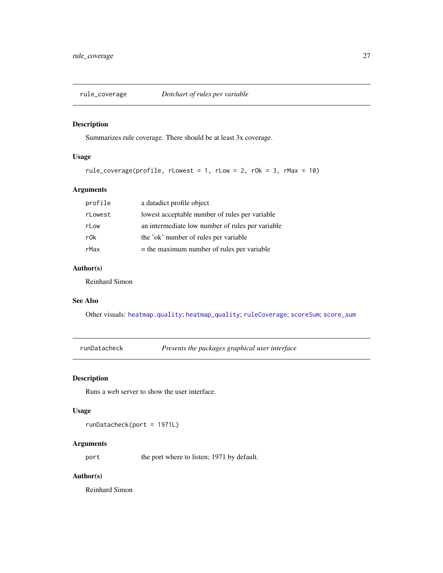<span id="page-26-1"></span><span id="page-26-0"></span>

Summarizes rule coverage. There should be at least 3x coverage.

## Usage

```
rule_coverage(profile, rLowest = 1, rLow = 2, rOk = 3, rMax = 10)
```
## Arguments

| profile | a datadict profile object                        |
|---------|--------------------------------------------------|
| rLowest | lowest acceptable number of rules per variable   |
| rLow    | an intermediate low number of rules per variable |
| r0k     | the 'ok' number of rules per variable            |
| rMax    | $=$ the maximum number of rules per variable     |

## Author(s)

Reinhard Simon

## See Also

Other visuals: [heatmap.quality](#page-10-2); [heatmap\\_quality](#page-10-1); [ruleCoverage](#page-25-1); [scoreSum](#page-27-1); [score\\_sum](#page-28-1)

<span id="page-26-2"></span>runDatacheck *Presents the packages graphical user interface*

## Description

Runs a web server to show the user interface.

#### Usage

runDatacheck(port = 1971L)

## Arguments

port the port where to listen; 1971 by default.

## Author(s)

Reinhard Simon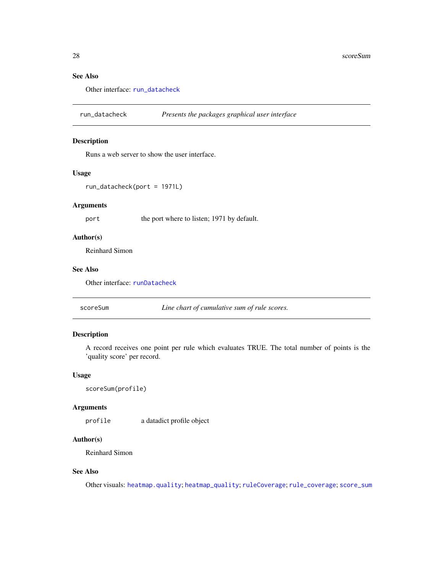## See Also

Other interface: [run\\_datacheck](#page-27-2)

<span id="page-27-2"></span>run\_datacheck *Presents the packages graphical user interface*

#### Description

Runs a web server to show the user interface.

## Usage

run\_datacheck(port = 1971L)

## Arguments

port the port where to listen; 1971 by default.

## Author(s)

Reinhard Simon

#### See Also

Other interface: [runDatacheck](#page-26-2)

<span id="page-27-1"></span>

| scoreSum | Line chart of cumulative sum of rule scores. |  |
|----------|----------------------------------------------|--|
|----------|----------------------------------------------|--|

## Description

A record receives one point per rule which evaluates TRUE. The total number of points is the 'quality score' per record.

## Usage

```
scoreSum(profile)
```
#### Arguments

profile a datadict profile object

### Author(s)

Reinhard Simon

## See Also

Other visuals: [heatmap.quality](#page-10-2); [heatmap\\_quality](#page-10-1); [ruleCoverage](#page-25-1); [rule\\_coverage](#page-26-1); [score\\_sum](#page-28-1)

<span id="page-27-0"></span>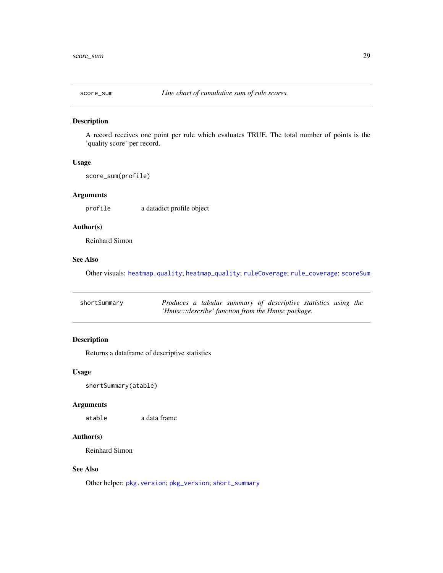<span id="page-28-1"></span><span id="page-28-0"></span>

A record receives one point per rule which evaluates TRUE. The total number of points is the 'quality score' per record.

## Usage

score\_sum(profile)

## Arguments

profile a datadict profile object

## Author(s)

Reinhard Simon

## See Also

Other visuals: [heatmap.quality](#page-10-2); [heatmap\\_quality](#page-10-1); [ruleCoverage](#page-25-1); [rule\\_coverage](#page-26-1); [scoreSum](#page-27-1)

<span id="page-28-2"></span>

| shortSummary |                                                    |  |  |  |  | Produces a tabular summary of descriptive statistics using the |  |  |
|--------------|----------------------------------------------------|--|--|--|--|----------------------------------------------------------------|--|--|
|              | 'Hmisc::describe' function from the Hmisc package. |  |  |  |  |                                                                |  |  |

## Description

Returns a dataframe of descriptive statistics

#### Usage

shortSummary(atable)

#### Arguments

atable a data frame

## Author(s)

Reinhard Simon

## See Also

Other helper: [pkg.version](#page-22-2); [pkg\\_version](#page-22-1); [short\\_summary](#page-29-1)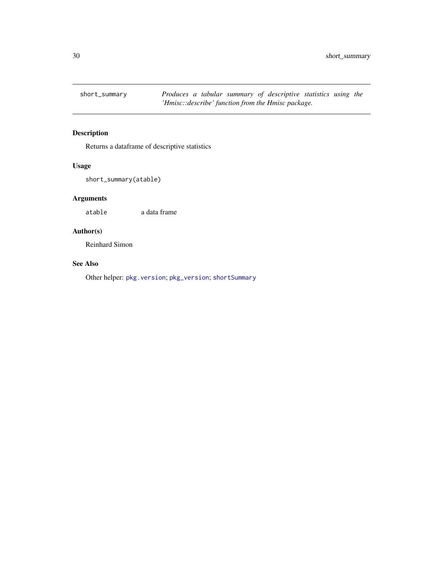<span id="page-29-1"></span><span id="page-29-0"></span>

Returns a dataframe of descriptive statistics

## Usage

short\_summary(atable)

## Arguments

atable a data frame

## Author(s)

Reinhard Simon

## See Also

Other helper: [pkg.version](#page-22-2); [pkg\\_version](#page-22-1); [shortSummary](#page-28-2)